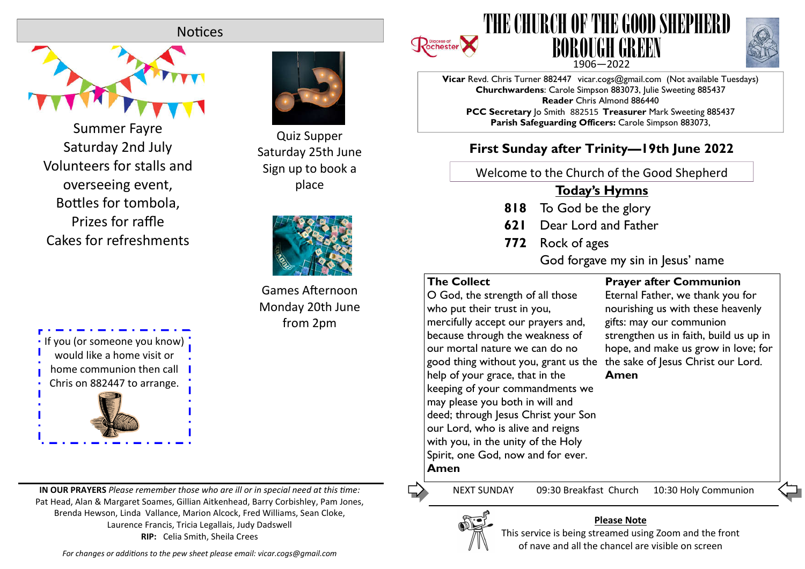# **Notices**



Summer Fayre Saturday 2nd July Volunteers for stalls and overseeing event, Bottles for tombola. Prizes for raffle Cakes for refreshments



**IN OUR PRAYERS** *Please remember those who are ill or in special need at this me:* Pat Head, Alan & Margaret Soames, Gillian Aitkenhead, Barry Corbishley, Pam Jones, Brenda Hewson, Linda Vallance, Marion Alcock, Fred Williams, Sean Cloke, Laurence Francis, Tricia Legallais, Judy Dadswell **RIP:** Celia Smith, Sheila Crees



Quiz Supper Saturday 25th June Sign up to book a place



Games Afternoon Monday 20th June from 2pm





**Vicar** Revd. Chris Turner 882447 vicar.cogs@gmail.com (Not available Tuesdays) **Churchwardens**: Carole Simpson 883073, Julie Sweeting 885437 **Reader** Chris Almond 886440 **PCC Secretary** Jo Smith 882515 **Treasurer** Mark Sweeting 885437 **Parish Safeguarding Officers:** Carole Simpson 883073,

# **First Sunday after Trinity—19th June 2022**

Welcome to the Church of the Good Shepherd

# **Today's Hymns**

- **818** To God be the glory
- **621** Dear Lord and Father
- **772** Rock of ages

God forgave my sin in Jesus' name

### **The Collect**

O God, the strength of all those who put their trust in you, mercifully accept our prayers and, because through the weakness of our mortal nature we can do no good thing without you, grant us the the sake of Jesus Christ our Lord. help of your grace, that in the keeping of your commandments we may please you both in will and deed; through Jesus Christ your Son our Lord, who is alive and reigns with you, in the unity of the Holy Spirit, one God, now and for ever. **Amen**

**Prayer after Communion**

Eternal Father, we thank you for nourishing us with these heavenly gifts: may our communion strengthen us in faith, build us up in hope, and make us grow in love; for

**Amen**

Ľ,

NEXT SUNDAY 09:30 Breakfast Church 10:30 Holy Communion



#### **Please Note**

This service is being streamed using Zoom and the front of nave and all the chancel are visible on screen